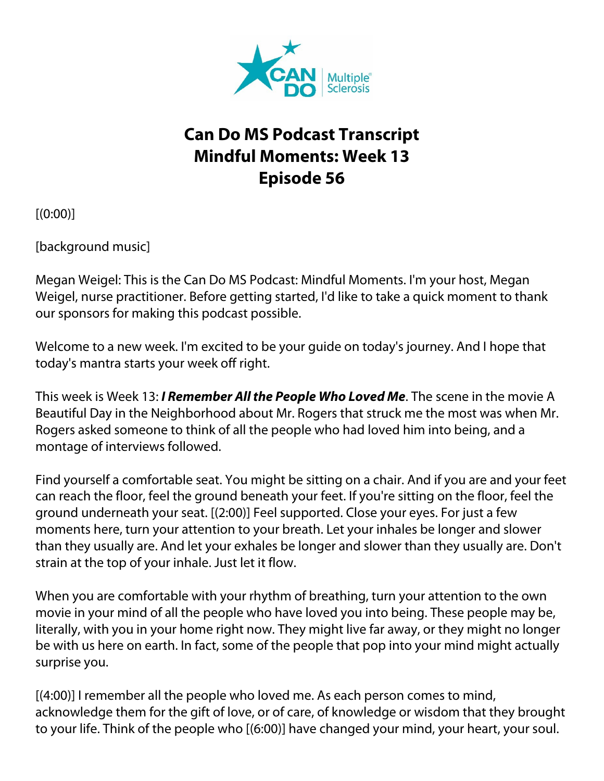

## **Can Do MS Podcast Transcript Mindful Moments: Week 13 Episode 56**

 $[(0:00)]$ 

[background music]

Megan Weigel: This is the Can Do MS Podcast: Mindful Moments. I'm your host, Megan Weigel, nurse practitioner. Before getting started, I'd like to take a quick moment to thank our sponsors for making this podcast possible.

Welcome to a new week. I'm excited to be your guide on today's journey. And I hope that today's mantra starts your week off right.

This week is Week 13: *I Remember All the People Who Loved Me*. The scene in the movie A Beautiful Day in the Neighborhood about Mr. Rogers that struck me the most was when Mr. Rogers asked someone to think of all the people who had loved him into being, and a montage of interviews followed.

Find yourself a comfortable seat. You might be sitting on a chair. And if you are and your feet can reach the floor, feel the ground beneath your feet. If you're sitting on the floor, feel the ground underneath your seat. [(2:00)] Feel supported. Close your eyes. For just a few moments here, turn your attention to your breath. Let your inhales be longer and slower than they usually are. And let your exhales be longer and slower than they usually are. Don't strain at the top of your inhale. Just let it flow.

When you are comfortable with your rhythm of breathing, turn your attention to the own movie in your mind of all the people who have loved you into being. These people may be, literally, with you in your home right now. They might live far away, or they might no longer be with us here on earth. In fact, some of the people that pop into your mind might actually surprise you.

[(4:00)] I remember all the people who loved me. As each person comes to mind, acknowledge them for the gift of love, or of care, of knowledge or wisdom that they brought to your life. Think of the people who [(6:00)] have changed your mind, your heart, your soul.